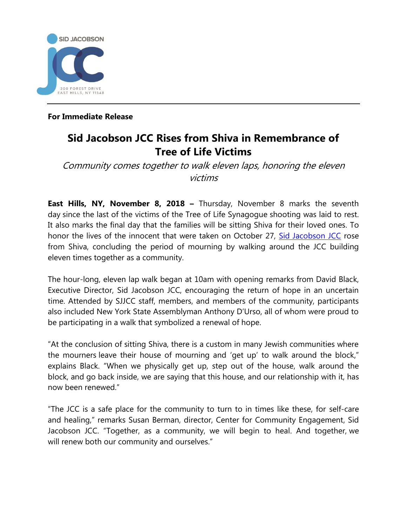

**For Immediate Release**

## **Sid Jacobson JCC Rises from Shiva in Remembrance of Tree of Life Victims**

Community comes together to walk eleven laps, honoring the eleven victims

**East Hills, NY, November 8, 2018 –** Thursday, November 8 marks the seventh day since the last of the victims of the Tree of Life Synagogue shooting was laid to rest. It also marks the final day that the families will be sitting Shiva for their loved ones. To honor the lives of the innocent that were taken on October 27, [Sid Jacobson JCC](http://www.sjjcc.org/) rose from Shiva, concluding the period of mourning by walking around the JCC building eleven times together as a community.

The hour-long, eleven lap walk began at 10am with opening remarks from David Black, Executive Director, Sid Jacobson JCC, encouraging the return of hope in an uncertain time. Attended by SJJCC staff, members, and members of the community, participants also included New York State Assemblyman Anthony D'Urso, all of whom were proud to be participating in a walk that symbolized a renewal of hope.

"At the conclusion of sitting Shiva, there is a custom in many Jewish communities where the mourners leave their house of mourning and 'get up' to walk around the block," explains Black. "When we physically get up, step out of the house, walk around the block, and go back inside, we are saying that this house, and our relationship with it, has now been renewed."

"The JCC is a safe place for the community to turn to in times like these, for self-care and healing," remarks Susan Berman, director, Center for Community Engagement, Sid Jacobson JCC. "Together, as a community, we will begin to heal. And together, we will renew both our community and ourselves."